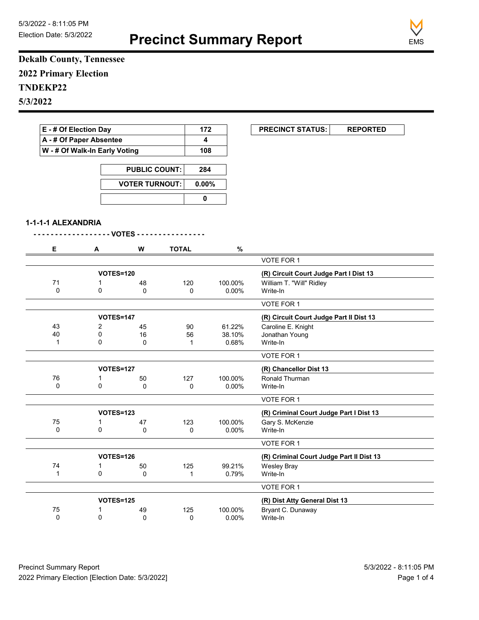**Precinct Summary Report**



**Dekalb County, Tennessee 2022 Primary Election TNDEKP22 5/3/2022**

| E - # Of Election Day   |                               |                                               |                | 172                     | <b>PRECINCT STATUS:</b>                  | <b>REPORTED</b> |
|-------------------------|-------------------------------|-----------------------------------------------|----------------|-------------------------|------------------------------------------|-----------------|
| A - # Of Paper Absentee |                               |                                               |                | $\overline{\mathbf{4}}$ |                                          |                 |
|                         | W - # Of Walk-In Early Voting |                                               |                | 108                     |                                          |                 |
|                         |                               |                                               |                |                         |                                          |                 |
|                         |                               | <b>PUBLIC COUNT:</b><br><b>VOTER TURNOUT:</b> |                | 284                     |                                          |                 |
|                         |                               |                                               |                | 0.00%                   |                                          |                 |
|                         |                               |                                               | $\mathbf 0$    |                         |                                          |                 |
| 1-1-1-1 ALEXANDRIA      |                               |                                               |                |                         |                                          |                 |
|                         |                               | - VOTES - - -                                 |                |                         |                                          |                 |
| Е                       | A                             | W                                             | <b>TOTAL</b>   | $\%$                    |                                          |                 |
|                         |                               |                                               |                |                         | VOTE FOR 1                               |                 |
|                         | <b>VOTES=120</b>              |                                               |                |                         | (R) Circuit Court Judge Part I Dist 13   |                 |
| 71                      | 1                             | 48                                            | 120            | 100.00%                 | William T. "Will" Ridley                 |                 |
| 0                       | 0                             | $\mathbf{0}$                                  | 0              | 0.00%                   | Write-In                                 |                 |
|                         |                               |                                               |                |                         | VOTE FOR 1                               |                 |
|                         | <b>VOTES=147</b>              |                                               |                |                         | (R) Circuit Court Judge Part II Dist 13  |                 |
| 43                      | $\overline{2}$                | 45                                            | 90             | 61.22%                  | Caroline E. Knight                       |                 |
| 40                      | 0                             | 16                                            | 56             | 38.10%                  | Jonathan Young                           |                 |
| $\mathbf{1}$            | 0                             | 0                                             | 1              | 0.68%                   | Write-In                                 |                 |
|                         |                               |                                               |                |                         | VOTE FOR 1                               |                 |
|                         | <b>VOTES=127</b>              |                                               |                |                         | (R) Chancellor Dist 13                   |                 |
| 76                      | 1                             | 50                                            | 127            | 100.00%                 | Ronald Thurman                           |                 |
| $\Omega$                | $\Omega$                      | $\Omega$                                      | $\Omega$       | $0.00\%$                | Write-In                                 |                 |
|                         |                               |                                               |                |                         | VOTE FOR 1                               |                 |
|                         | <b>VOTES=123</b>              |                                               |                |                         | (R) Criminal Court Judge Part I Dist 13  |                 |
| 75                      | 1                             | 47                                            | 123            | 100.00%                 | Gary S. McKenzie                         |                 |
| $\mathbf 0$             | $\mathbf 0$                   | 0                                             | 0              | 0.00%                   | Write-In                                 |                 |
|                         |                               |                                               |                |                         | <b>VOTE FOR 1</b>                        |                 |
|                         | VOTES=126                     |                                               |                |                         | (R) Criminal Court Judge Part II Dist 13 |                 |
| 74                      | 1                             | 50                                            | 125            | 99.21%                  | <b>Wesley Bray</b>                       |                 |
| $\overline{A}$          | $\sim$                        | $\sim$                                        | $\overline{A}$ | 0.700/                  | $M = 1$                                  |                 |

|    |           |    |     |         | Write-In                      |
|----|-----------|----|-----|---------|-------------------------------|
|    |           |    |     |         | VOTE FOR 1                    |
|    |           |    |     |         |                               |
|    | VOTES=125 |    |     |         | (R) Dist Atty General Dist 13 |
| 75 |           | 49 | 125 | 100.00% | Bryant C. Dunaway             |
|    |           |    |     |         | 0.79%                         |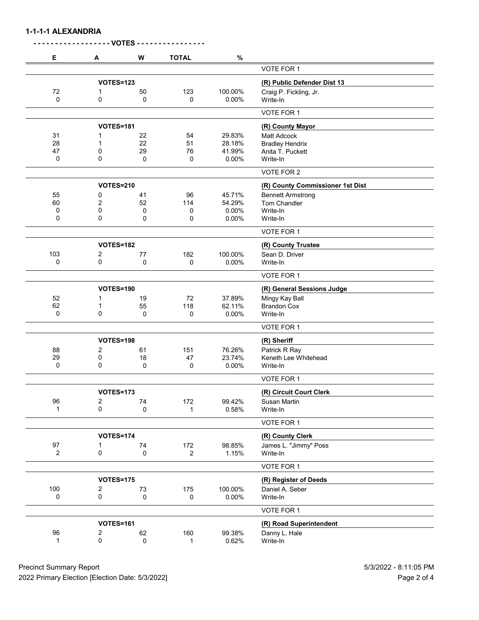**1-1-1-1 ALEXANDRIA**

| Е            | A                | W           | <b>TOTAL</b>   | $\%$    |                                       |
|--------------|------------------|-------------|----------------|---------|---------------------------------------|
|              |                  |             |                |         | VOTE FOR 1                            |
|              | <b>VOTES=123</b> |             |                |         | (R) Public Defender Dist 13           |
| 72           | 1                | 50          | 123            | 100.00% | Craig P. Fickling, Jr.                |
| 0            | 0                | 0           | $\mathbf 0$    | 0.00%   | Write-In                              |
|              |                  |             |                |         | VOTE FOR 1                            |
|              | <b>VOTES=181</b> |             |                |         | (R) County Mayor                      |
| 31           | 1                | 22          | 54             | 29.83%  | <b>Matt Adcock</b>                    |
| 28           | 1                | 22          | 51             | 28.18%  | <b>Bradley Hendrix</b>                |
| 47           | 0                | 29          | 76             | 41.99%  | Anita T. Puckett                      |
| 0            | 0                | 0           | 0              | 0.00%   | Write-In                              |
|              |                  |             |                |         | VOTE FOR 2                            |
|              | <b>VOTES=210</b> |             |                |         | (R) County Commissioner 1st Dist      |
| 55           | 0                | 41          | 96             | 45.71%  | <b>Bennett Armstrong</b>              |
| 60           | 2                | 52          | 114            | 54.29%  | Tom Chandler                          |
| 0            | 0                | 0           | 0              | 0.00%   | Write-In                              |
| 0            | 0                | 0           | 0              | 0.00%   | Write-In                              |
|              |                  |             |                |         | VOTE FOR 1                            |
|              | VOTES=182        |             |                |         | (R) County Trustee                    |
| 103          | 2                | 77          | 182            | 100.00% | Sean D. Driver                        |
| 0            | 0                | 0           | 0              | 0.00%   | Write-In                              |
|              |                  |             |                |         | VOTE FOR 1                            |
|              | <b>VOTES=190</b> |             |                |         | (R) General Sessions Judge            |
| 52           | 1                | 19          | 72             | 37.89%  | Mingy Kay Ball                        |
| 62           | $\mathbf{1}$     | 55          | 118            | 62.11%  | <b>Brandon Cox</b>                    |
| 0            | 0                | 0           | 0              | 0.00%   | Write-In                              |
|              |                  |             |                |         | VOTE FOR 1                            |
|              | <b>VOTES=198</b> |             |                |         | (R) Sheriff                           |
| 88           | 2                | 61          | 151            | 76.26%  |                                       |
| 29           |                  |             |                | 23.74%  | Patrick R Ray<br>Keneth Lee Whitehead |
| 0            | 0<br>0           | 18          | 47             |         |                                       |
|              |                  | 0           | 0              | 0.00%   | Write-In                              |
|              |                  |             |                |         | VOTE FOR 1                            |
|              | <b>VOTES=173</b> |             |                |         | (R) Circuit Court Clerk               |
| 96           | $\overline{2}$   | 74          | 172            | 99.42%  | Susan Martin                          |
| 1            | 0                | 0           | 1              | 0.58%   | Write-In                              |
|              |                  |             |                |         | VOTE FOR 1                            |
|              | <b>VOTES=174</b> |             |                |         | (R) County Clerk                      |
| 97           | 1                | 74          | 172            | 98.85%  | James L. "Jimmy" Poss                 |
| 2            | 0                | 0           | $\overline{c}$ | 1.15%   | Write-In                              |
|              |                  |             |                |         | VOTE FOR 1                            |
|              | <b>VOTES=175</b> |             |                |         | (R) Register of Deeds                 |
| 100          | 2                | 73          | 175            | 100.00% | Daniel A. Seber                       |
| 0            | $\mathsf 0$      | $\mathbf 0$ | 0              | 0.00%   | Write-In                              |
|              |                  |             |                |         | VOTE FOR 1                            |
|              | <b>VOTES=161</b> |             |                |         | (R) Road Superintendent               |
| 96           | $\overline{c}$   | 62          | 160            | 99.38%  | Danny L. Hale                         |
| $\mathbf{1}$ | 0                | 0           | 1              | 0.62%   | Write-In                              |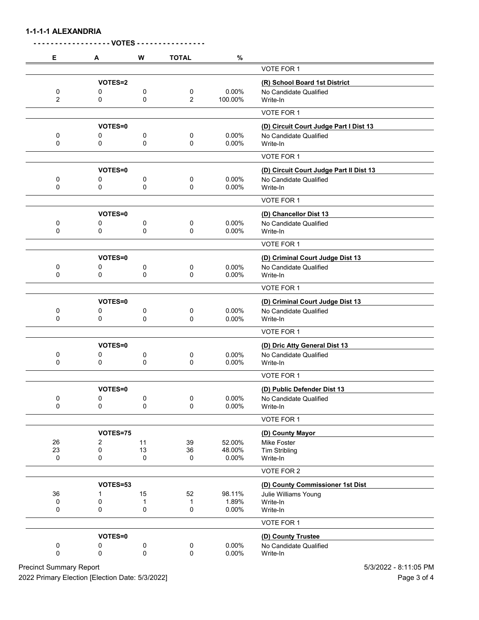**1-1-1-1 ALEXANDRIA**

|                |                | <b>VOTES-</b> |                |         |                                         |
|----------------|----------------|---------------|----------------|---------|-----------------------------------------|
| Е              | A              | W             | <b>TOTAL</b>   | $\%$    |                                         |
|                |                |               |                |         | VOTE FOR 1                              |
|                | VOTES=2        |               |                |         | (R) School Board 1st District           |
| 0              | 0              | 0             | 0              | 0.00%   | No Candidate Qualified                  |
| $\overline{2}$ | 0              | 0             | $\overline{2}$ | 100.00% | Write-In                                |
|                |                |               |                |         | VOTE FOR 1                              |
|                | VOTES=0        |               |                |         | (D) Circuit Court Judge Part I Dist 13  |
| 0              | 0              | 0             | 0              | 0.00%   | No Candidate Qualified                  |
| 0              | 0              | 0             | 0              | 0.00%   | Write-In                                |
|                |                |               |                |         | VOTE FOR 1                              |
|                |                |               |                |         |                                         |
|                | VOTES=0        |               |                |         | (D) Circuit Court Judge Part II Dist 13 |
| 0              | 0              | 0             | 0              | 0.00%   | No Candidate Qualified                  |
| 0              | 0              | 0             | 0              | 0.00%   | Write-In                                |
|                |                |               |                |         | VOTE FOR 1                              |
|                | VOTES=0        |               |                |         | (D) Chancellor Dist 13                  |
| 0              | 0              | 0             | 0              | 0.00%   | No Candidate Qualified                  |
| 0              | 0              | 0             | 0              | 0.00%   | Write-In                                |
|                |                |               |                |         | VOTE FOR 1                              |
|                | <b>VOTES=0</b> |               |                |         | (D) Criminal Court Judge Dist 13        |
| 0              | 0              | 0             | 0              | 0.00%   | No Candidate Qualified                  |
| $\mathbf 0$    | 0              | 0             | $\mathbf 0$    | 0.00%   | Write-In                                |
|                |                |               |                |         | VOTE FOR 1                              |
|                | VOTES=0        |               |                |         | (D) Criminal Court Judge Dist 13        |
| 0              | 0              | 0             | 0              | 0.00%   | No Candidate Qualified                  |
| 0              | 0              | 0             | 0              | 0.00%   | Write-In                                |
|                |                |               |                |         | VOTE FOR 1                              |
|                | VOTES=0        |               |                |         | (D) Dric Atty General Dist 13           |
| 0              | 0              | 0             | 0              | 0.00%   | No Candidate Qualified                  |
| 0              | 0              | 0             | 0              | 0.00%   | Write-In                                |
|                |                |               |                |         | VOTE FOR 1                              |
|                | VOTES=0        |               |                |         | (D) Public Defender Dist 13             |
| 0              | 0              | 0             | 0              | 0.00%   | No Candidate Qualified                  |
| $\mathbf 0$    | 0              | 0             | 0              | 0.00%   | Write-In                                |
|                |                |               |                |         | VOTE FOR 1                              |
|                | VOTES=75       |               |                |         | (D) County Mayor                        |
| 26             | 2              | 11            | 39             | 52.00%  | Mike Foster                             |
| 23             | 0              | 13            | 36             | 48.00%  | <b>Tim Stribling</b>                    |
| 0              | 0              | 0             | $\mathbf 0$    | 0.00%   | Write-In                                |
|                |                |               |                |         | VOTE FOR 2                              |
|                | VOTES=53       |               |                |         | (D) County Commissioner 1st Dist        |
| 36             | 1              | 15            | 52             | 98.11%  | Julie Williams Young                    |
| 0              | 0              | 1             | 1              | 1.89%   | Write-In                                |
| 0              | 0              | 0             | 0              | 0.00%   | Write-In                                |
|                |                |               |                |         | VOTE FOR 1                              |
|                | VOTES=0        |               |                |         | (D) County Trustee                      |
| 0              | 0              | 0             | 0              | 0.00%   | No Candidate Qualified                  |
| 0              | 0              | 0             | 0              | 0.00%   | Write-In                                |
|                |                |               |                |         |                                         |